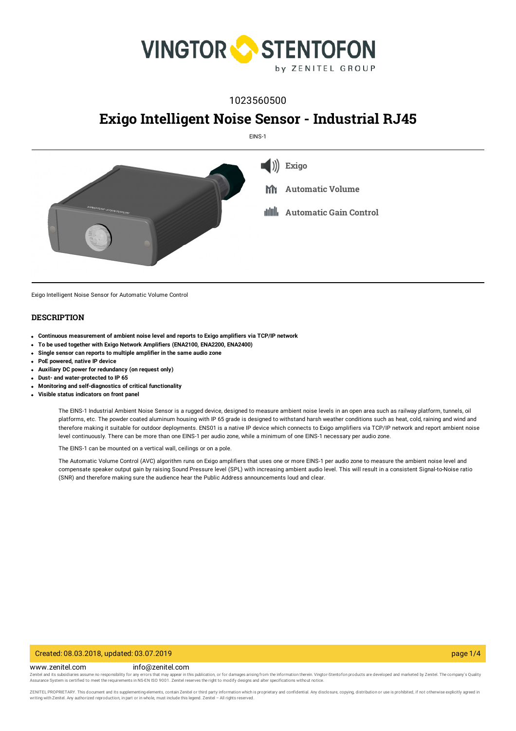

# 1023560500

# **Exigo Intelligent Noise Sensor - Industrial RJ45**

EINS-1



Exigo Intelligent Noise Sensor for Automatic Volume Control

#### **DESCRIPTION**

- **Continuous measurement of ambient noise level and reports to Exigo amplifiers via TCP/IP network**
- **To be used together with Exigo Network Amplifiers (ENA2100, ENA2200, ENA2400)**
- **Single sensor can reports to multiple amplifier in the same audio zone**
- **PoE powered, native IP device**
- **Auxiliary DC power for redundancy (on request only)**
- **Dust- and water-protected to IP 65**
- **Monitoring and self-diagnostics of critical functionality**
- **Visible status indicators on front panel**

The EINS-1 Industrial Ambient Noise Sensor is a rugged device, designed to measure ambient noise levels in an open area such as railway platform, tunnels, oil platforms, etc. The powder coated aluminum housing with IP 65 grade is designed to withstand harsh weather conditions such as heat, cold, raining and wind and therefore making it suitable for outdoor deployments. ENS01 is a native IP device which connects to Exigo amplifiers via TCP/IP network and report ambient noise level continuously. There can be more than one EINS-1 per audio zone, while a minimum of one EINS-1 necessary per audio zone.

The EINS-1 can be mounted on a vertical wall, ceilings or on a pole.

The Automatic Volume Control (AVC) algorithm runs on Exigo amplifiers that uses one or more EINS-1 per audio zone to measure the ambient noise level and compensate speaker output gain by raising Sound Pressure level (SPL) with increasing ambient audio level. This will result in a consistent Signal-to-Noise ratio (SNR) and therefore making sure the audience hear the Public Address announcements loud and clear.

#### Created: 08.03.2018, updated: 03.07.2019 page 1/4

www.zenitel.com info@zenitel.com

Zenitel and its subsidiaries assume no responsibility for any errors that may appear in this publication, or for damages arising from the information therein. Vingtor-Stentofon products are developed and marketed by Zenite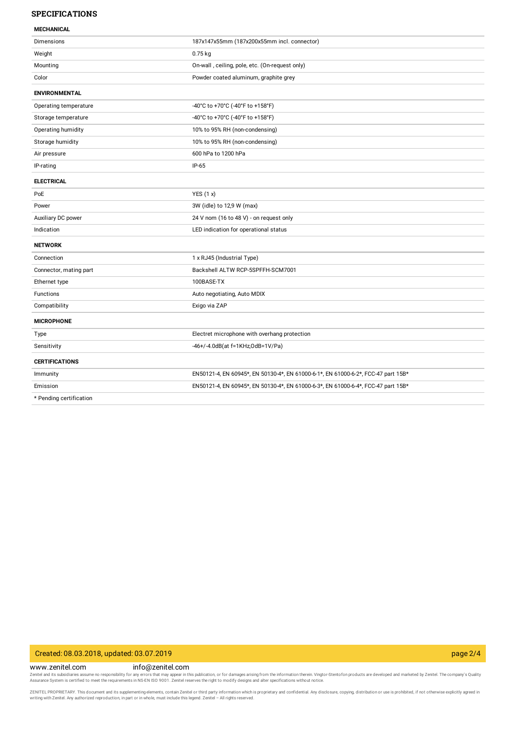#### **SPECIFICATIONS**

| <b>MECHANICAL</b> |  |
|-------------------|--|

| <b>Dimensions</b>       | 187x147x55mm (187x200x55mm incl. connector)                                       |
|-------------------------|-----------------------------------------------------------------------------------|
| Weight                  | $0.75$ kg                                                                         |
| Mounting                | On-wall, ceiling, pole, etc. (On-request only)                                    |
| Color                   | Powder coated aluminum, graphite grey                                             |
| <b>ENVIRONMENTAL</b>    |                                                                                   |
| Operating temperature   | -40°C to +70°C (-40°F to +158°F)                                                  |
| Storage temperature     | -40°C to +70°C (-40°F to +158°F)                                                  |
| Operating humidity      | 10% to 95% RH (non-condensing)                                                    |
| Storage humidity        | 10% to 95% RH (non-condensing)                                                    |
| Air pressure            | 600 hPa to 1200 hPa                                                               |
| IP-rating               | $IP-65$                                                                           |
| <b>ELECTRICAL</b>       |                                                                                   |
| PoE                     | YES $(1 x)$                                                                       |
| Power                   | 3W (idle) to 12,9 W (max)                                                         |
| Auxiliary DC power      | 24 V nom (16 to 48 V) - on request only                                           |
| Indication              | LED indication for operational status                                             |
| <b>NETWORK</b>          |                                                                                   |
| Connection              | 1 x RJ45 (Industrial Type)                                                        |
| Connector, mating part  | Backshell ALTW RCP-5SPFFH-SCM7001                                                 |
| Ethernet type           | 100BASE-TX                                                                        |
| Functions               | Auto negotiating, Auto MDIX                                                       |
| Compatibility           | Exigo via ZAP                                                                     |
| <b>MICROPHONE</b>       |                                                                                   |
| Type                    | Electret microphone with overhang protection                                      |
| Sensitivity             | -46+/-4.0dB(at f=1KHz,0dB=1V/Pa)                                                  |
| <b>CERTIFICATIONS</b>   |                                                                                   |
| Immunity                | EN50121-4, EN 60945*, EN 50130-4*, EN 61000-6-1*, EN 61000-6-2*, FCC-47 part 15B* |
| Emission                | EN50121-4, EN 60945*, EN 50130-4*, EN 61000-6-3*, EN 61000-6-4*, FCC-47 part 15B* |
| * Pending certification |                                                                                   |

## Created: 08.03.2018, updated: 03.07.2019 page 2/4

www.zenitel.com info@zenitel.com

Zenitel and its subsidiaries assume no responsibility for any errors that may appear in this publication, or for damages arising from the information therein. Vingtor-Stentofon products are developed and marketed by Zenite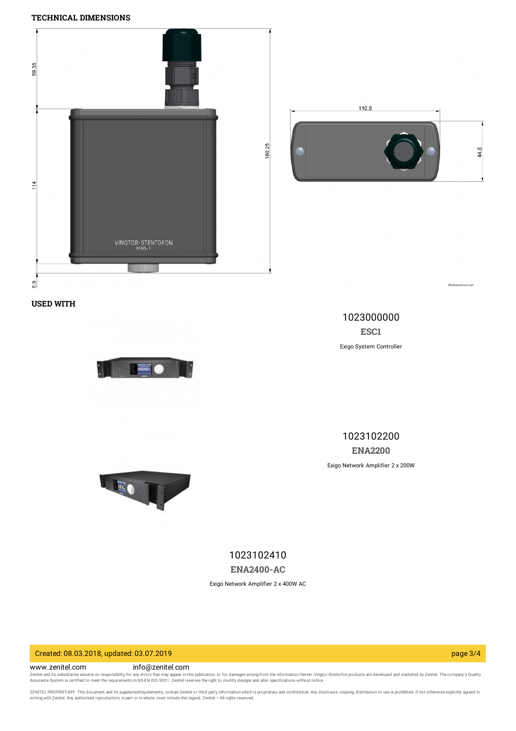### **TECHNICAL DIMENSIONS**



**USED WITH**



1023000000 **[ESC1](https://www.zenitel.com/product/esc1)** Exigo System Controller

1023102200 **[ENA2200](https://www.zenitel.com/product/ena2200)**





1023102410 **[ENA2400-AC](https://www.zenitel.com/product/ena2400-ac)**

Exigo Network Amplifier 2 x 400W AC

Created: 08.03.2018, updated: 03.07.2019 page 3/4

www.zenitel.com info@zenitel.com

Zenitel and its subsidiaries assume no responsibility for any errors that may appear in this publication, or for damages arising from the information therein. Vingtor-Stentofon products are developed and marketed by Zenite